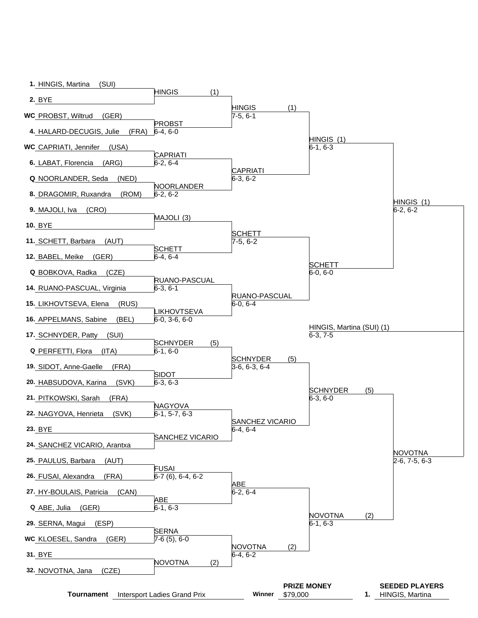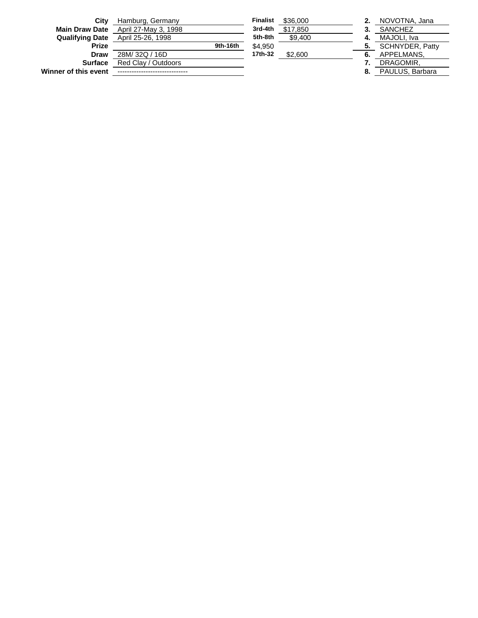| City                  | Hamburg, Germany                         |          | <b>Finalist</b> | \$36,000 |    | NOVOTNA, Jana          |
|-----------------------|------------------------------------------|----------|-----------------|----------|----|------------------------|
| <b>Main Draw Date</b> | April 27-May 3, 1998                     |          | 3rd-4th         | \$17.850 |    | SANCHEZ                |
|                       | <b>Qualifying Date</b> April 25-26, 1998 |          | 5th-8th         | \$9,400  |    | MAJOLI. Iva            |
| <b>Prize</b>          |                                          | 9th-16th | \$4.950         |          |    | <b>SCHNYDER, Patty</b> |
| Draw                  | 28M/32Q/16D                              |          | 17th-32         | \$2,600  |    | APPELMANS.             |
| <b>Surface</b>        | Red Clay / Outdoors                      |          |                 |          |    | DRAGOMIR.              |
| Winner of this event  |                                          |          |                 |          | 8. | PAULUS, Barbara        |
|                       |                                          |          |                 |          |    |                        |

| amburg, Germany     |          | <b>Finalist</b> | \$36,000 |           | NOVOTNA, Jana                                    |
|---------------------|----------|-----------------|----------|-----------|--------------------------------------------------|
| pril 27-May 3, 1998 |          | 3rd-4th         | \$17,850 | 3         | <b>SANCHEZ</b>                                   |
| pril 25-26, 1998    |          | 5th-8th         | \$9.400  |           | MAJOLI, Iva                                      |
|                     | 9th-16th | \$4.950         |          |           | SCHNYDER, Pat                                    |
| 8M/32Q/16D          |          | 17th-32         | \$2,600  |           | APPELMANS.                                       |
| ed Clav / Outdoors  |          |                 |          |           | DRAGOMIR.                                        |
|                     |          |                 |          | $\bullet$ | $D$ $A$ $I$ $II$ $I$ $I$ $C$ $D$ $A$ $A$ $B$ $A$ |